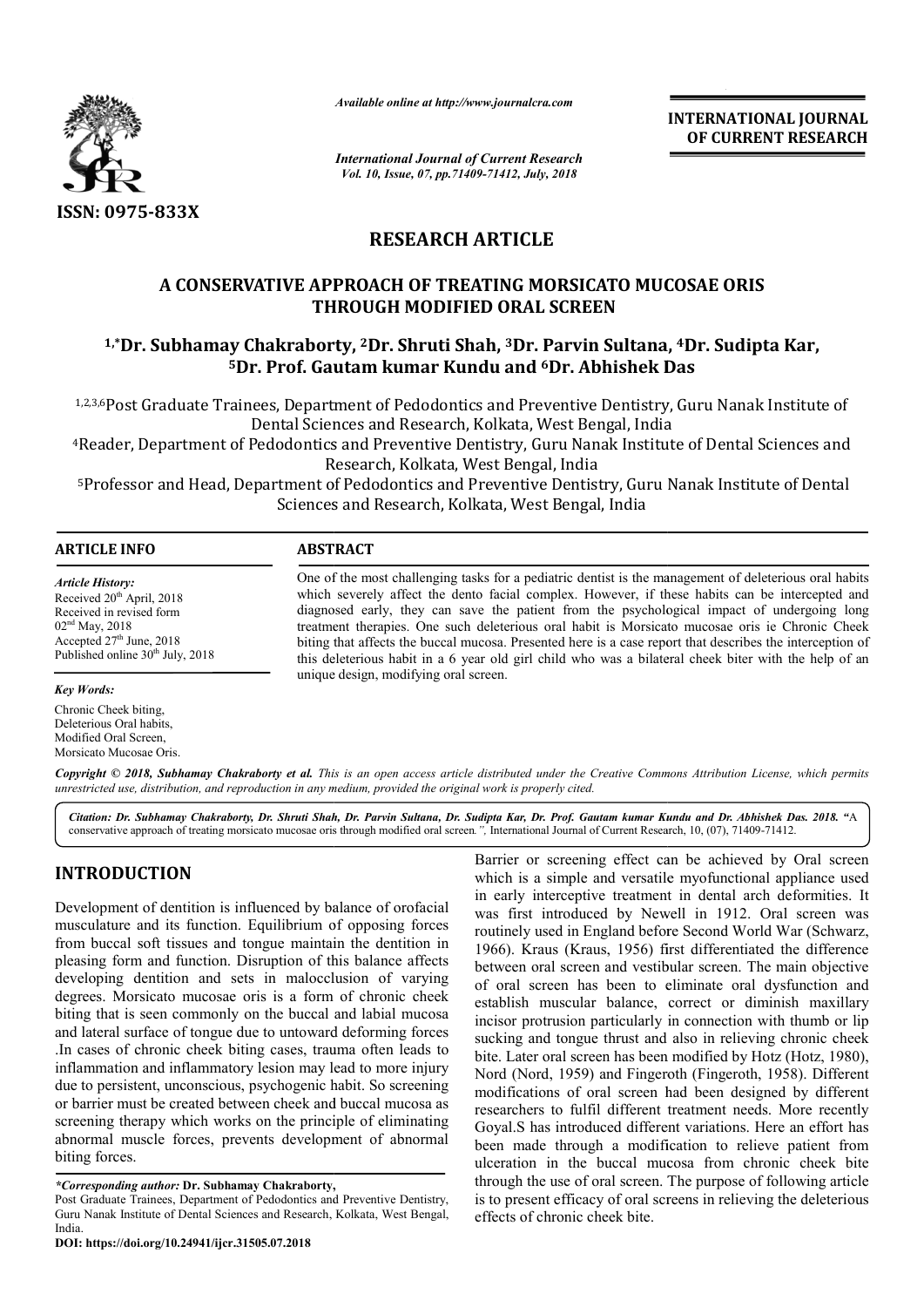

*Available online at http://www.journalcra.com*

*International Journal of Current Research Vol. 10, Issue, 07, pp.71409-71412, July, 2018*

**INTERNATIONAL JOURNAL OF CURRENT RESEARCH**

## **RESEARCH ARTICLE**

# **A CONSERVATIVE APPROACH OF TREATING MORSICATO MUCOSAE ORIS THROUGH MODIFIED ORAL SCREEN** A CONSERVATIVE APPROACH OF TREATING MORSICATO MUCOSAE ORIS<br>THROUGH MODIFIED ORAL SCREEN<br><sup>1,\*</sup>Dr. Subhamay Chakraborty, <sup>2</sup>Dr. Shruti Shah, <sup>3</sup>Dr. Parvin Sultana, <sup>4</sup>Dr. Sudipta Kar,

# **5Dr. Prof. Gautam kumar Kundu and Dr. 6Dr. Abhishek Das Dr. Abhishek Das**

1,2,3,6Post Graduate Trainees, Department of Pedodontics and Preventive Dentistry, Guru Nanak Institute of lees, Department of Pedodontics and Preventive Dentistry, Guru<br>Dental Sciences and Research, Kolkata, West Bengal, India <sup>1,2,3,6</sup>Post Graduate Trainees, Department of Pedodontics and Preventive Dentistry, Guru Nanak Institute of<br>Dental Sciences and Research, Kolkata, West Bengal, India<br>Reader, Department of Pedodontics and Preventive Dentis

Research, Kolkata, West Bengal, India

5Professor and Head, Department of Pedodontics and Preventive Dentistry, Guru Nanak Institute of Dental Professor India Sciences and Research, Kolkata, West Bengal, In

#### **ARTICLE INFO ABSTRACT**

*Article History:* Received 20<sup>th</sup> April, 2018 Received in revised form 02nd May, 2018 Accepted  $27<sup>th</sup>$  June, 2018 Published online  $30<sup>th</sup>$  July, 2018 One of the most challenging tasks for a pediatric dentist is the management of deleterious oral habits which severely affect the dento facial complex. However, if these habits can be intercepted and diagnose diagnosed early, they can save the patient from the psychological impact of undergoing long treatment therapies. One such deleterious oral habit is Morsicato mucosae oris ie Chronic Cheek biting that affects the buccal mucosa. Presented here is a case report that describes the interception of this deleterious habit in a 6 year old girl child who was a bilateral cheek biter with the help of an unique design, modifying oral screen. One of the most challenging tasks for a pediatric dentist is the management of deleterious oral habits which severely affect the dento facial complex. However, if these habits can be intercepted and diagnosed early, they c

#### *Key Words:*

Chronic Cheek biting, Deleterious Oral habits, Modified Oral Screen, Morsicato Mucosae Oris.

Copyright © 2018, Subhamay Chakraborty et al. This is an open access article distributed under the Creative Commons Attribution License, which permits *unrestricted use, distribution, and reproduction in any medium, provided the original work is properly cited.*

Citation: Dr. Subhamay Chakraborty, Dr. Shruti Shah, Dr. Parvin Sultana, Dr. Sudipta Kar, Dr. Prof. Gautam kumar Kundu and Dr. Abhishek Das. 2018. "A conservative approach of treating morsicato mucosae oris through modified oral screen *.",* International Journal of Current Research, 10, (07), (07), 71409-71412.

### **INTRODUCTION**

Development of dentition is influenced by balance of orofacial musculature and its function. Equilibrium of opposing forces from buccal soft tissues and tongue maintain the dentition in pleasing form and function. Disruption of this balance affects developing dentition and sets in malocclusion of varying degrees. Morsicato mucosae oris is a form of chronic cheek biting that is seen commonly on the buccal and labial mucosa and lateral surface of tongue due to untoward deforming forces .In cases of chronic cheek biting cases, trauma often leads to inflammation and inflammatory lesion may lead to more injury due to persistent, unconscious, psychogenic habit. So screening or barrier must be created between cheek and buccal mucosa as screening therapy which works on the principle of eliminating abnormal muscle forces, prevents development of abnormal biting forces.

Barrier or screening effect can be achieved by Oral screen<br>
which is a simple and versatile myofunctional appliance used<br>
in early interceptive tratement in dental arch deformities. It<br>
in the dentition in early intercepti which is a simple and versatile myofuncti myofunctional appliance used in early interceptive treatment in dental arch deformities. It was first introduced by Newell in 1912. Oral screen was routinely used in England before Second World War 1966). Kraus (Kraus, 1956) first differentiated the difference between oral screen and vestibular screen. The main objective of oral screen has been to eliminate oral dysfunction and establish muscular balance, correct or diminish maxillary incisor protrusion particularly in connection with thumb or lip sucking and tongue thrust and also in relieving chronic cheek sucking and tongue chronic cheek bite. Later oral screen has been modified by Hotz (Hotz, 1980), Nord (Nord, 1959) and Fingeroth (Fingeroth, 1958). Different modifications of oral screen had been designed by different researchers to fulfil different treatment needs. More recently Goyal.S has introduced different variations. Here an effort has been made through a modification to relieve patient from ulceration in the buccal mucosa from chronic cheek bite through the use of oral screen. The purpose of following article is to present efficacy of oral screens in relieving the deleterious effects of chronic cheek bite. interceptive treatment in dental arch deformities. It<br>introduced by Newell in 1912. Oral screen was<br>used in England before Second World War (Schwarz, between oral screen and vestibular screen. The main objective<br>of oral screen has been to eliminate oral dysfunction and<br>establish muscular balance, correct or diminish maxillary<br>incisor protrusion particularly in connectio **EXERVAL THONAL FORMAL CONTRIGENT (CONTRIGENT)**<br> **CONTRIGUAL SURGERY CONTRIGUAL CONTRIGUAL CONTRIGUAL SURGERY (SEED)**<br> **ARTICLE**<br> **ARTICLE**<br> **ARTICLE**<br> **ARTICLE**<br> **ARTICLE**<br> **ARTICLE**<br> **ARTICLE**<br> **ARTICLE**<br> **ARTICLE**<br> **ART** 

*<sup>\*</sup>Corresponding author:* **Dr. Subhamay Chakraborty,**

Post Graduate Trainees, Department of Pedodontics and Preventive Dentistry, Guru Nanak Institute of Dental Sciences and Research, Kolkata, West Bengal, India.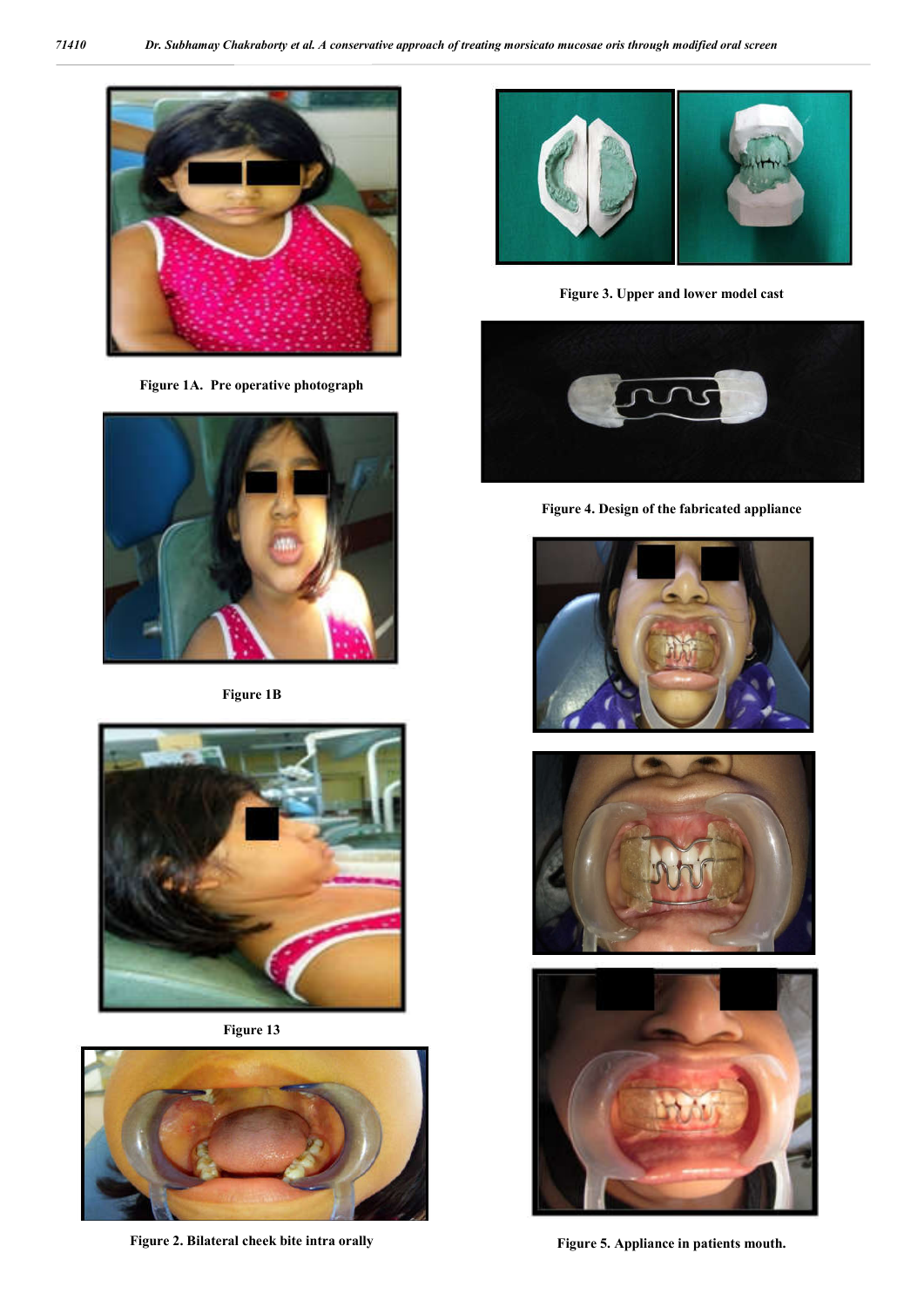

**Figure 1A. Pre operative photograph**



**Figure 1B**



**Figure 13**



**Figure 2. Bilateral cheek bite intra orally**



**Figure 3. Upper and lower model cast**



**Figure 4. Design of the fabricated appliance**







**Figure 5. Appliance in patients mouth.**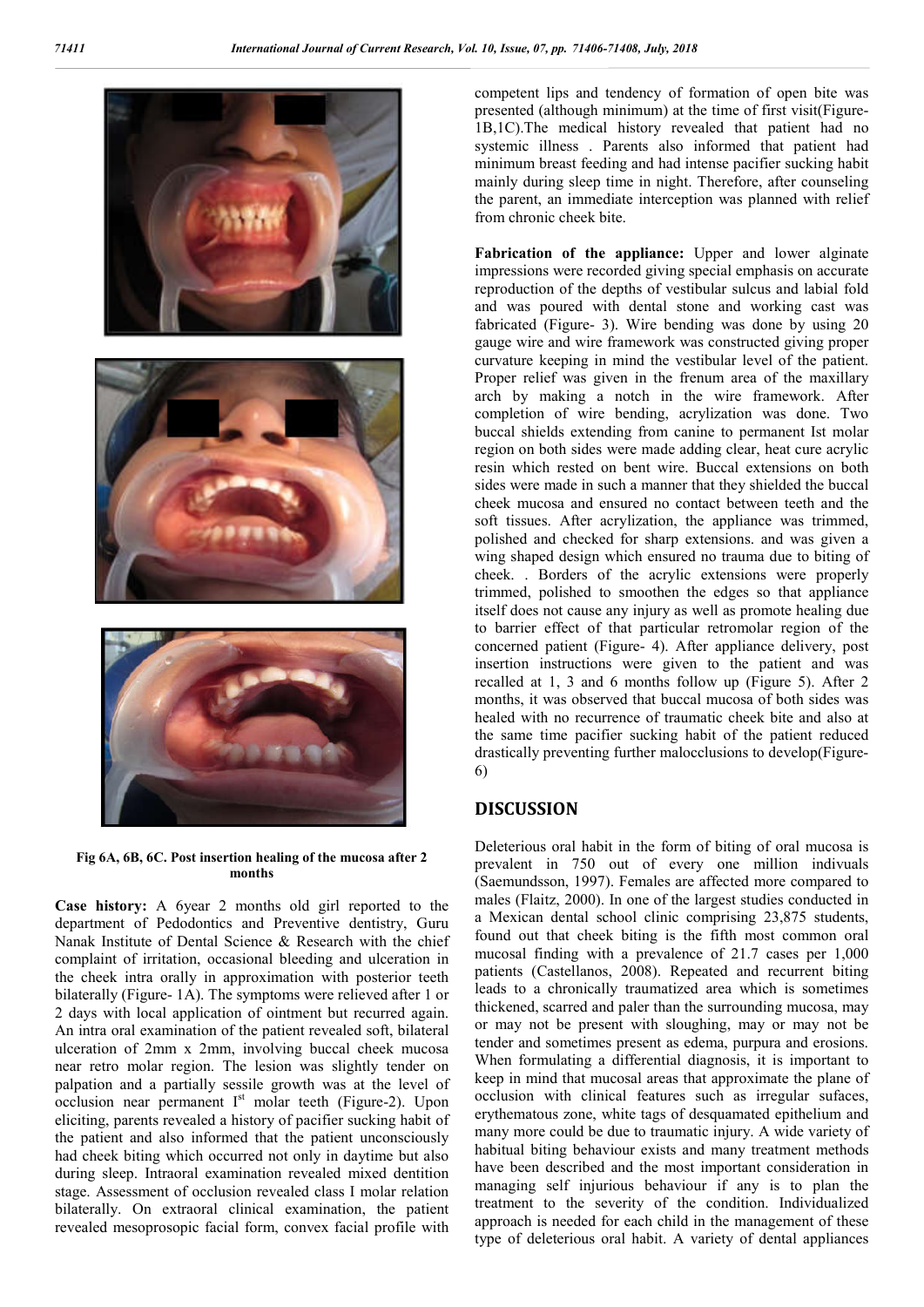

**Fig 6A, 6B, 6C. Post insertion healing of the mucosa after 2 months**

**Case history:** A 6year 2 months old girl reported to the department of Pedodontics and Preventive dentistry, Guru Nanak Institute of Dental Science & Research with the chief complaint of irritation, occasional bleeding and ulceration in the cheek intra orally in approximation with posterior teeth bilaterally (Figure- 1A). The symptoms were relieved after 1 or 2 days with local application of ointment but recurred again. An intra oral examination of the patient revealed soft, bilateral ulceration of 2mm x 2mm, involving buccal cheek mucosa near retro molar region. The lesion was slightly tender on palpation and a partially sessile growth was at the level of occlusion near permanent  $I<sup>st</sup>$  molar teeth (Figure-2). Upon eliciting, parents revealed a history of pacifier sucking habit of the patient and also informed that the patient unconsciously had cheek biting which occurred not only in daytime but also during sleep. Intraoral examination revealed mixed dentition stage. Assessment of occlusion revealed class I molar relation bilaterally. On extraoral clinical examination, the patient revealed mesoprosopic facial form, convex facial profile with

competent lips and tendency of formation of open bite was presented (although minimum) at the time of first visit(Figure-1B,1C).The medical history revealed that patient had no systemic illness . Parents also informed that patient had minimum breast feeding and had intense pacifier sucking habit mainly during sleep time in night. Therefore, after counseling the parent, an immediate interception was planned with relief from chronic cheek bite.

**Fabrication of the appliance:** Upper and lower alginate impressions were recorded giving special emphasis on accurate reproduction of the depths of vestibular sulcus and labial fold and was poured with dental stone and working cast was fabricated (Figure- 3). Wire bending was done by using 20 gauge wire and wire framework was constructed giving proper curvature keeping in mind the vestibular level of the patient. Proper relief was given in the frenum area of the maxillary arch by making a notch in the wire framework. After completion of wire bending, acrylization was done. Two buccal shields extending from canine to permanent Ist molar region on both sides were made adding clear, heat cure acrylic resin which rested on bent wire. Buccal extensions on both sides were made in such a manner that they shielded the buccal cheek mucosa and ensured no contact between teeth and the soft tissues. After acrylization, the appliance was trimmed, polished and checked for sharp extensions. and was given a wing shaped design which ensured no trauma due to biting of cheek. . Borders of the acrylic extensions were properly trimmed, polished to smoothen the edges so that appliance itself does not cause any injury as well as promote healing due to barrier effect of that particular retromolar region of the concerned patient (Figure- 4). After appliance delivery, post insertion instructions were given to the patient and was recalled at 1, 3 and 6 months follow up (Figure 5). After 2 months, it was observed that buccal mucosa of both sides was healed with no recurrence of traumatic cheek bite and also at the same time pacifier sucking habit of the patient reduced drastically preventing further malocclusions to develop(Figure-6)

#### **DISCUSSION**

Deleterious oral habit in the form of biting of oral mucosa is prevalent in 750 out of every one million indivuals (Saemundsson, 1997). Females are affected more compared to males (Flaitz, 2000). In one of the largest studies conducted in a Mexican dental school clinic comprising 23,875 students, found out that cheek biting is the fifth most common oral mucosal finding with a prevalence of 21.7 cases per 1,000 patients (Castellanos, 2008). Repeated and recurrent biting leads to a chronically traumatized area which is sometimes thickened, scarred and paler than the surrounding mucosa, may or may not be present with sloughing, may or may not be tender and sometimes present as edema, purpura and erosions. When formulating a differential diagnosis, it is important to keep in mind that mucosal areas that approximate the plane of occlusion with clinical features such as irregular sufaces, erythematous zone, white tags of desquamated epithelium and many more could be due to traumatic injury. A wide variety of habitual biting behaviour exists and many treatment methods have been described and the most important consideration in managing self injurious behaviour if any is to plan the treatment to the severity of the condition. Individualized approach is needed for each child in the management of these type of deleterious oral habit. A variety of dental appliances